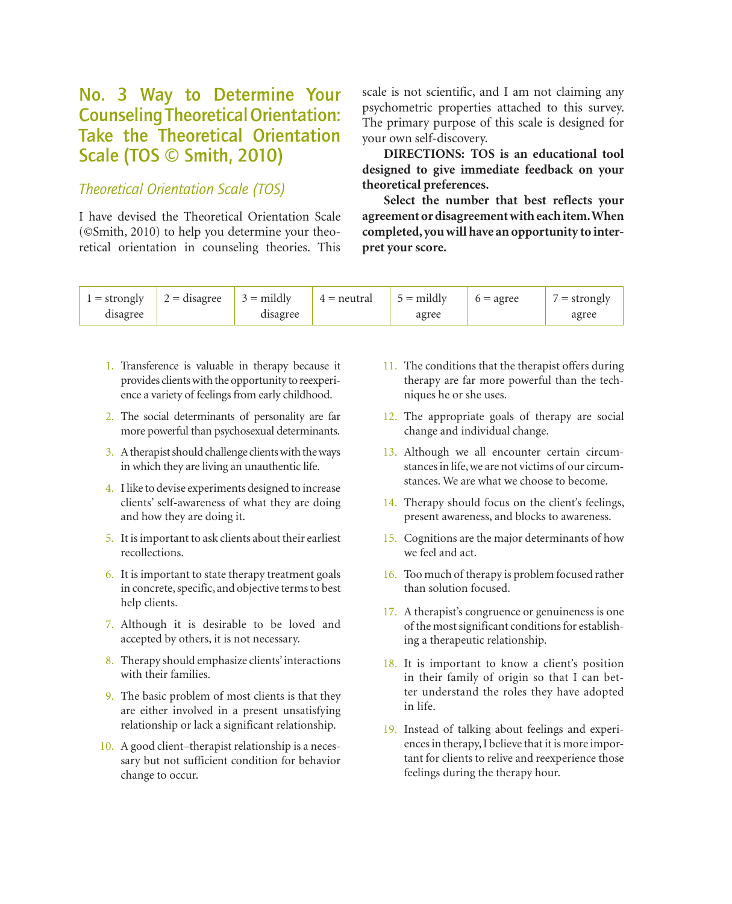## No. 3 Way to Determine Your Counseling Theoretical Orientation: Take the Theoretical Orientation Scale (TOS © Smith, 2010)

## *Theoretical Orientation Scale (TOS)*

I have devised the Theoretical Orientation Scale (©Smith, 2010) to help you determine your theoretical orientation in counseling theories. This

scale is not scientific, and I am not claiming any psychometric properties attached to this survey. The primary purpose of this scale is designed for your own self-discovery.

**DIRECTIONS: TOS is an educational tool designed to give immediate feedback on your theoretical preferences.**

**Select the number that best reflects your agreement or disagreement with each item. When completed, you will have an opportunity to interpret your score.**

| $1 =$ strongly | $2 = \text{disagree}$ $3 = \text{mildly}$ |          | $4 =$ neutral | $5 =$ mildly | $6 = \text{agree}$ | $\ell =$ strongly |
|----------------|-------------------------------------------|----------|---------------|--------------|--------------------|-------------------|
| disagree       |                                           | disagree |               | agree        |                    | agree             |

- 1. Transference is valuable in therapy because it provides clients with the opportunity to reexperience a variety of feelings from early childhood.
- 2. The social determinants of personality are far more powerful than psychosexual determinants.
- 3. A therapist should challenge clients with the ways in which they are living an unauthentic life.
- 4. I like to devise experiments designed to increase clients' self-awareness of what they are doing and how they are doing it.
- 5. It is important to ask clients about their earliest recollections.
- 6. It is important to state therapy treatment goals in concrete, specific, and objective terms to best help clients.
- 7. Although it is desirable to be loved and accepted by others, it is not necessary.
- 8. Therapy should emphasize clients' interactions with their families.
- 9. The basic problem of most clients is that they are either involved in a present unsatisfying relationship or lack a significant relationship.
- 10. A good client–therapist relationship is a necessary but not sufficient condition for behavior change to occur.
- 11. The conditions that the therapist offers during therapy are far more powerful than the techniques he or she uses.
- 12. The appropriate goals of therapy are social change and individual change.
- 13. Although we all encounter certain circumstances in life, we are not victims of our circumstances. We are what we choose to become.
- 14. Therapy should focus on the client's feelings, present awareness, and blocks to awareness.
- 15. Cognitions are the major determinants of how we feel and act.
- 16. Too much of therapy is problem focused rather than solution focused.
- 17. A therapist's congruence or genuineness is one of the most significant conditions for establishing a therapeutic relationship.
- 18. It is important to know a client's position in their family of origin so that I can better understand the roles they have adopted in life.
- 19. Instead of talking about feelings and experiences in therapy, I believe that it is more important for clients to relive and reexperience those feelings during the therapy hour.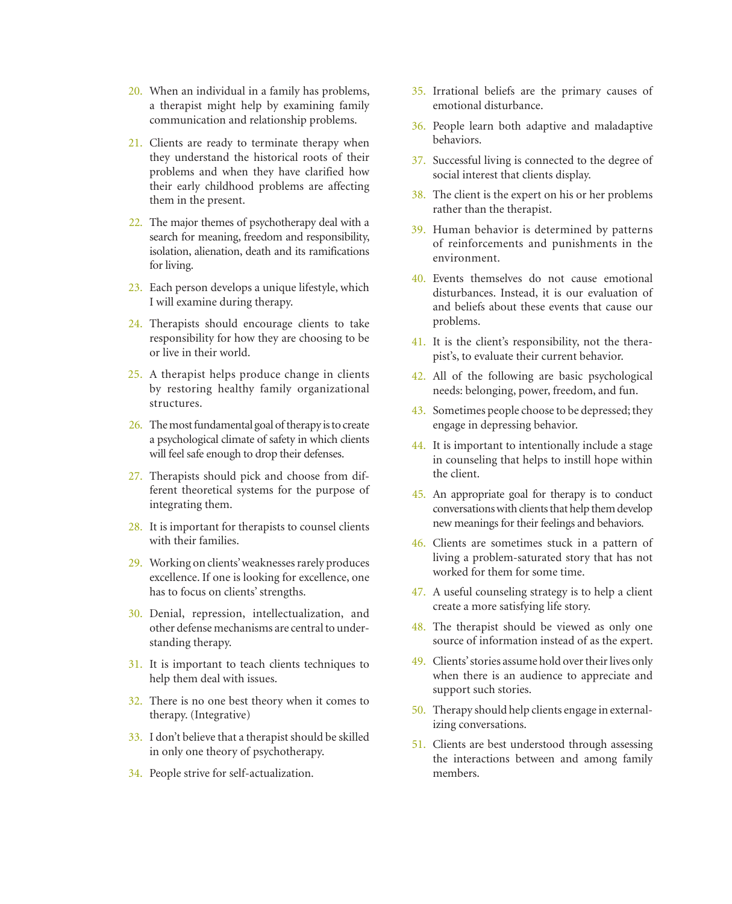- 20. When an individual in a family has problems, a therapist might help by examining family communication and relationship problems.
- 21. Clients are ready to terminate therapy when they understand the historical roots of their problems and when they have clarified how their early childhood problems are affecting them in the present.
- 22. The major themes of psychotherapy deal with a search for meaning, freedom and responsibility, isolation, alienation, death and its ramifications for living.
- 23. Each person develops a unique lifestyle, which I will examine during therapy.
- 24. Therapists should encourage clients to take responsibility for how they are choosing to be or live in their world.
- 25. A therapist helps produce change in clients by restoring healthy family organizational structures.
- 26. The most fundamental goal of therapy is to create a psychological climate of safety in which clients will feel safe enough to drop their defenses.
- 27. Therapists should pick and choose from different theoretical systems for the purpose of integrating them.
- 28. It is important for therapists to counsel clients with their families.
- 29. Working on clients' weaknesses rarely produces excellence. If one is looking for excellence, one has to focus on clients' strengths.
- 30. Denial, repression, intellectualization, and other defense mechanisms are central to understanding therapy.
- 31. It is important to teach clients techniques to help them deal with issues.
- 32. There is no one best theory when it comes to therapy. (Integrative)
- 33. I don't believe that a therapist should be skilled in only one theory of psychotherapy.
- 34. People strive for self-actualization.
- 35. Irrational beliefs are the primary causes of emotional disturbance.
- 36. People learn both adaptive and maladaptive behaviors.
- 37. Successful living is connected to the degree of social interest that clients display.
- 38. The client is the expert on his or her problems rather than the therapist.
- 39. Human behavior is determined by patterns of reinforcements and punishments in the environment.
- 40. Events themselves do not cause emotional disturbances. Instead, it is our evaluation of and beliefs about these events that cause our problems.
- 41. It is the client's responsibility, not the therapist's, to evaluate their current behavior.
- 42. All of the following are basic psychological needs: belonging, power, freedom, and fun.
- 43. Sometimes people choose to be depressed; they engage in depressing behavior.
- 44. It is important to intentionally include a stage in counseling that helps to instill hope within the client.
- 45. An appropriate goal for therapy is to conduct conversations with clients that help them develop new meanings for their feelings and behaviors.
- 46. Clients are sometimes stuck in a pattern of living a problem-saturated story that has not worked for them for some time.
- 47. A useful counseling strategy is to help a client create a more satisfying life story.
- 48. The therapist should be viewed as only one source of information instead of as the expert.
- 49. Clients' stories assume hold over their lives only when there is an audience to appreciate and support such stories.
- 50. Therapy should help clients engage in externalizing conversations.
- 51. Clients are best understood through assessing the interactions between and among family members.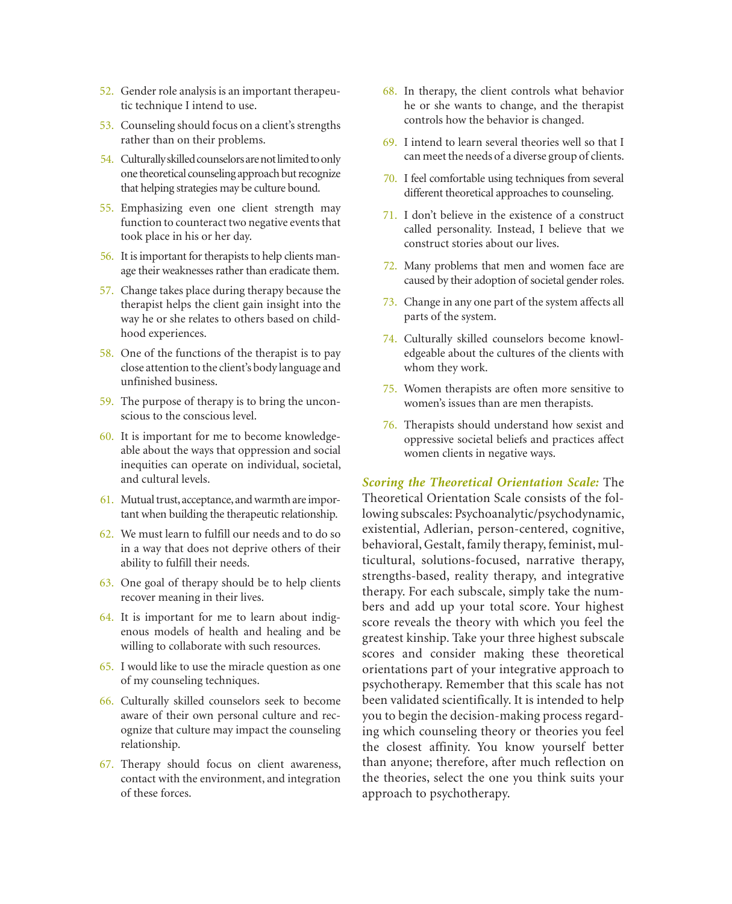- 52. Gender role analysis is an important therapeutic technique I intend to use.
- 53. Counseling should focus on a client's strengths rather than on their problems.
- 54. Culturally skilled counselors are not limited to only one theoretical counseling approach but recognize that helping strategies may be culture bound.
- 55. Emphasizing even one client strength may function to counteract two negative events that took place in his or her day.
- 56. It is important for therapists to help clients manage their weaknesses rather than eradicate them.
- 57. Change takes place during therapy because the therapist helps the client gain insight into the way he or she relates to others based on childhood experiences.
- 58. One of the functions of the therapist is to pay close attention to the client's body language and unfinished business.
- 59. The purpose of therapy is to bring the unconscious to the conscious level.
- 60. It is important for me to become knowledgeable about the ways that oppression and social inequities can operate on individual, societal, and cultural levels.
- 61. Mutual trust, acceptance, and warmth are important when building the therapeutic relationship.
- 62. We must learn to fulfill our needs and to do so in a way that does not deprive others of their ability to fulfill their needs.
- 63. One goal of therapy should be to help clients recover meaning in their lives.
- 64. It is important for me to learn about indigenous models of health and healing and be willing to collaborate with such resources.
- 65. I would like to use the miracle question as one of my counseling techniques.
- 66. Culturally skilled counselors seek to become aware of their own personal culture and recognize that culture may impact the counseling relationship.
- 67. Therapy should focus on client awareness, contact with the environment, and integration of these forces.
- 68. In therapy, the client controls what behavior he or she wants to change, and the therapist controls how the behavior is changed.
- 69. I intend to learn several theories well so that I can meet the needs of a diverse group of clients.
- 70. I feel comfortable using techniques from several different theoretical approaches to counseling.
- 71. I don't believe in the existence of a construct called personality. Instead, I believe that we construct stories about our lives.
- 72. Many problems that men and women face are caused by their adoption of societal gender roles.
- 73. Change in any one part of the system affects all parts of the system.
- 74. Culturally skilled counselors become knowledgeable about the cultures of the clients with whom they work.
- 75. Women therapists are often more sensitive to women's issues than are men therapists.
- 76. Therapists should understand how sexist and oppressive societal beliefs and practices affect women clients in negative ways.

*Scoring the Theoretical Orientation Scale:* The Theoretical Orientation Scale consists of the following subscales: Psychoanalytic/psychodynamic, existential, Adlerian, person-centered, cognitive, behavioral, Gestalt, family therapy, feminist, multicultural, solutions-focused, narrative therapy, strengths-based, reality therapy, and integrative therapy. For each subscale, simply take the numbers and add up your total score. Your highest score reveals the theory with which you feel the greatest kinship. Take your three highest subscale scores and consider making these theoretical orientations part of your integrative approach to psychotherapy. Remember that this scale has not been validated scientifically. It is intended to help you to begin the decision-making process regarding which counseling theory or theories you feel the closest affinity. You know yourself better than anyone; therefore, after much reflection on the theories, select the one you think suits your approach to psychotherapy.